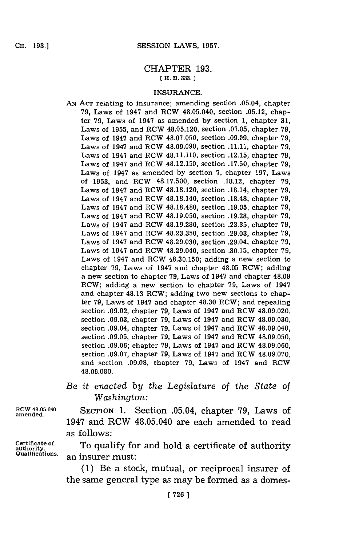#### CHAPTER **193. [ H. B. 333.]1**

#### **INSURANCE.**

- **AN ACT** relating to insurance; amending section .05.04, chapter **79,** Laws of 1947 and RCW 48.05.040, section **.05.12,** chapter **79,** Laws of 1947 as amended **by** section **1,** chapter **31,** Laws of **1955,** and RCW 48.05.120, section **.07.05,** chapter **79,** Laws of 1947 and RCW **48.07.050,** section **.09.09,** chapter **79,** Laws of 1947 and RCW 48.09.090, section **.11.11,** chapter **79,** Laws of 1947 and RCW 48.11.110, section **.12.15,** chapter **79,** Laws of 1947 and RCW 48.12.150, section **.17.50,** chapter **79,** Laws of 1947 as amended **by** section **7,** chapter **197,** Laws of **1953,** and RCW **48.17.500,** section **.18.12,** chapter **79,** Laws of 1947 and RCW **48.18.120,** section .18.14, chapter **79,** Laws of 1947 and RCW 48.18.140, section **.18.48,** chapter **79,** Laws of 1947 and RCW 48.18.480, section **.19.05,** chapter **79,** Laws of 1947 and RCW 48.19.050, section **.19.28,** chapter **79,** Laws of 1947 and RCW **48.19.280,** section **.23.35,** chapter **79,** Laws of 1947 and RCW **48.23.350,** section **.29.03,** chapter **79,** Laws of 1947 and RCW **48.29.030,** section .29.04, chapter **79,** Laws of 1947 and ROW 48.29.040, section **.30.15,** chapter **79,** Laws of 1947 and RCW **48.30.150;** adding a new section to chapter **79,** Laws of 1947 and chapter 48.05 ROW; adding a new section to chapter **79,** Laws of 1947 and chapter 48.09 ROW; adding a new section to chapter **79,** Laws of 1947 and chapter 48.13 RCW; adding two new sections to chapter **79,** Laws of 1947 and chapter 48.30 ROW; and repealing section **.09.02,** chapter **79,** Laws of 1947 and ROW 48.09.020, section **.09.03,** chapter **79,** Laws of 1947 and ROW **48.09.030,** section .09.04, chapter **79,** Laws of 1947 and RCW 48.09.040, section **.09.05,** chapter **79,** Laws of 1947 and ROW **48.09.050,** section **.09.06;** chapter **79,** Laws of 1947 and ROW **48.09.060,** section **.09.07,** chapter **79,** Laws of 1947 and RCW **48.09.070,** and section **.09.08,** chapter **79,** Laws of 1947 and ROW **48.09.080.**
- *Be it enacted by the Legislature of the State of Washington:*

**Rcw 48.05.040** SECTION **1.** Section .05.04, chapter **79,** Laws of **amended.** 1947 and RCW 48.05.040 are each amended to read as follows:

Certificate of **The Certificate of Certificate of C** of  $\overline{C}$  **C**  $\overline{C}$  **Qualifications.** an insurer must:

**(1)** Be a stock, mutual, or reciprocal insurer of the same general type as may be formed as a domes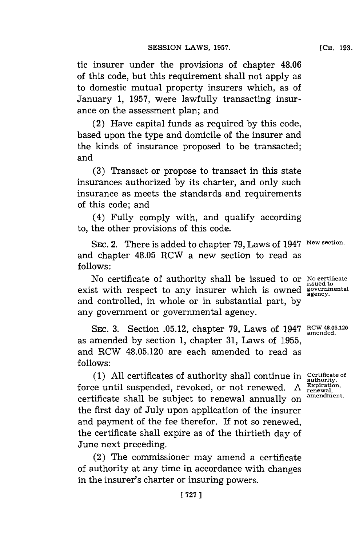tic insurer under the provisions of chapter 48.06 of this code, but this requirement shall not apply as to domestic mutual property insurers which, as of January **1, 1957,** were lawfully transacting insurance on the assessment plan; and

(2) Have capital funds as required **by** this code, based upon the type and domicile of the insurer and the kinds of insurance proposed to be transacted; and

**(3)** Transact or propose to transact in this state insurances authorized **by** its charter, and only such insurance as meets the standards and requirements of this code; and

(4) Fully comply with, and qualify according to, the other provisions of this code.

**SEC.** 2. There is added to chapter **79,** Laws of 1947 **New section.** and chapter 48.05 RCW a new section to read as **follows:**

No certificate of authority shall be issued to or **No certificate issued to** exist with respect to any insurer which is owned general agency. and controlled, in whole or in substantial part, **by** any government or governmental agency.

SEC. 3. Section 05.12, chapter 79, Laws of 1947 **RCW 48.05.12** as amended **by** section **1,** chapter **31,** Laws of **1955,** and RCW 48.05.120 are each amended to read as **follows:**

**(1) All** certificates of authority shall continue in **Certificate of authority.** force until suspended, revoked, or not renewed. A Expiration,<br>
contificate shall be qubied to renewed annually an <sup>amendment</sup> certificate shall be subject to renewal annually on the first day of July upon application of the insurer and payment of the fee therefor. If not so renewed, the certificate shall expire as of the thirtieth day of June next preceding.

(2) The commissioner may amend a certificate of authority at any time in accordance with changes in the insurer's charter or insuring powers.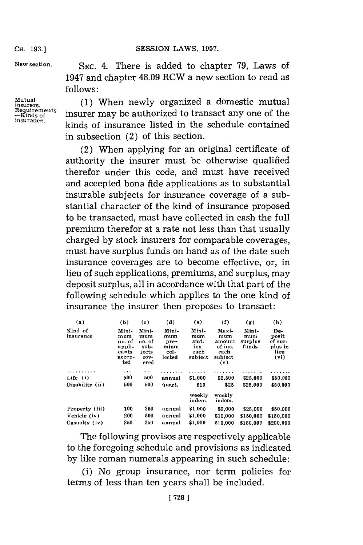## SESSION LAWS, 1957.

**CH. 193.]**

**New section.**

**Mutual insurers.**

**insurance.**

SEC. 4. There is added to chapter 79, Laws of 1947 and chapter 48.09 RCW a new section to read as **follows:**

**Requirements --Kinds of .(1)** When newly organized a domestic mutual insurer may be authorized to transact any one of the kinds of insurance listed in the schedule contained in subsection (2) of this section.

> (2) When applying for an original certificate of authority the insurer must be otherwise qualified therefor under this code, and must have received and accepted bona fide applications as to substantial insurable subjects for insurance coverage of a substantial character of the kind of insurance proposed to be transacted, must have collected in cash the full premium therefor at a rate not less than that usually charged **by** stock insurers for comparable coverages, must have surplus funds on hand as of the date such insurance coverages are to become effective, or, in lieu of such applications, premiums, and surplus, may deposit surplus, all in accordance with that part of the following schedule which applies to the one kind of insurance the insurer then proposes to transact:

| (a)                  | (b)                                                        | (c)                                                     | (d)                                            | (e)                                             | (f)                                                         | $(\mathbf{g})$                   | (h)                                                |
|----------------------|------------------------------------------------------------|---------------------------------------------------------|------------------------------------------------|-------------------------------------------------|-------------------------------------------------------------|----------------------------------|----------------------------------------------------|
| Kind of<br>insurance | Mini-<br>mum<br>no. of<br>appli-<br>cants<br>accep-<br>ted | Mini-<br>mum<br>no. of<br>sub-<br>jects<br>cov-<br>ered | Mini-<br>mum<br>pre-<br>mium<br>col-<br>lected | Mini-<br>mum<br>amt.<br>ins.<br>each<br>subject | Maxi-<br>mum<br>amount<br>of ins.<br>each<br>subject<br>(v) | Mini-<br>mum<br>surplus<br>funds | De-<br>posit<br>of sur-<br>plus in<br>lieu<br>(vi) |
| .                    | .                                                          | .                                                       |                                                |                                                 |                                                             |                                  |                                                    |
| Life (i)             | 500                                                        | 500                                                     | annual                                         | \$1,000                                         | \$2,500                                                     | \$25,000                         | \$50,000                                           |
| Disability (ii)      | 500                                                        | 500                                                     | quart.                                         | \$10                                            | \$25                                                        | \$25,000                         | \$50,000                                           |
|                      |                                                            |                                                         |                                                | weekly<br>indem.                                | weekly<br>indem.                                            |                                  |                                                    |
| Property (iii)       | 100                                                        | 250                                                     | annual                                         | \$1,000                                         | \$3,000                                                     | \$25,000                         | \$50,000                                           |
| Vehicle (iv)         | 200                                                        | 500                                                     | annual                                         | \$1,000                                         | \$10,000                                                    | \$150,000                        | \$150,000                                          |
| Casualty (iv)        | 250                                                        | 250                                                     | annual                                         | \$1,000                                         | \$10,000                                                    | \$150,000                        | \$200,000                                          |

The following provisos are respectively applicable to the foregoing schedule and provisions as indicated **by** like roman numerals appearing in such schedule:

(i) No group insurance, nor term policies for terms of less than ten years shall be included.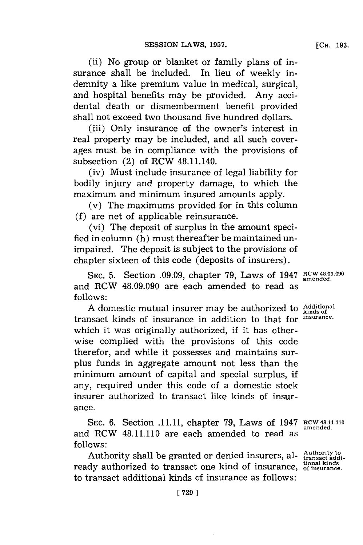(ii) No group or blanket or family plans of insurance shall be included. In lieu of weekly indemnity a like premium value in medical, surgical, and hospital benefits may be provided. Any accidental death or dismemberment benefit provided shall not exceed two thousand five hundred dollars.

(iii) Only insurance of the owner's interest in real property may be included, and all such coverages must be in compliance with the provisions of subsection (2) of RCW 48.11.140.

(iv) Must include insurance of legal liability for bodily injury and property damage, to which the maximum and minimum insured amounts apply.

(v) The maximums provided for in this column **(f)** are net of applicable reinsurance.

(vi) The deposit of surplus in the amount specified in column (h) must thereafter be maintained unimpaired. The deposit is subject to the provisions of chapter sixteen of this code (deposits of insurers).

SEC. 5. Section **.09.09**, chapter 79, Laws of 1947 RCW 48.09.090 and RCW 48.09.090 are each amended to read as **follows:**

Adomestic mutual insurer may be authorized to **Additional** transact kinds of insurance in addition to that for **insurance.** which it was originally authorized, if it has otherwise complied with the provisions of this code therefor, and while it possesses and maintains surplus funds in aggregate amount not less than the minimum amount of capital and special surplus, **if** any, required under this code of a domestic stock insurer authorized to transact like kinds of insurance.

**SEC. 6.** Section **.11.11,** chapter **79,** Laws of 1947 **RCW 48.11.110** and RCW 48.11.110 are each amended to read as **follows:**

Authority shall be granted or denied insurers, al- Authority to **tional kinds** ready authorized to transact one kind of insurance, **of insurance.** to transact additional kinds of insurance as follows:

**amended.**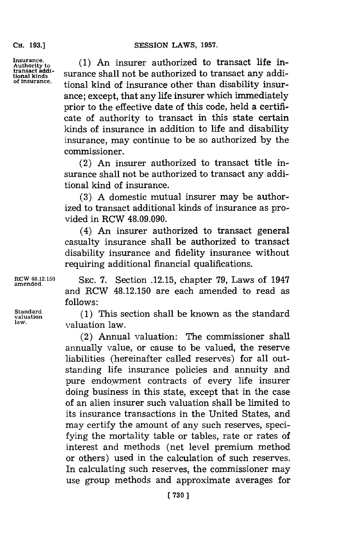**CH. 193.]**

**transact addi-**

Insurance. (1) An insurer authorized to transact life intransact addi<sup>1</sup> surance shall not be authorized to transact any addi-<br>of insurance tional kind of insurance other than disability insurance; except, that any life insurer which immediately prior to the effective date of this code, held a certificate of authority to transact in this state certain kinds of insurance in addition to life and disability insurance, may continue to be so authorized **by** the commissioner.

> (2) An insurer authorized to transact title insurance shall not be authorized to transact any additional kind of insurance.

> **(3) A** domestic mutual insurer may be authorized to transact additional kinds of insurance as provided in RCW 48.09.090.

> (4) An insurer authorized to transact general casualty insurance shall be authorized to transact disability insurance and fidelity insurance without requiring additional financial qualifications.

**Standard**

**RCW 4.12.150 SEC. 7.** Section **.12.15,** chapter **79,** Laws of 1947 **amended.** and RCW 48.12.150 are each amended to read as **follows:**

Standard (1) This section shall be known as the standard valuation<br>law. **law.** valuation law.

> (2) Annual valuation: The commissioner shall annually value, or cause to be valued, the reserve liabilities (hereinafter called reserves) for all outstanding life insurance policies and annuity and pure endowment contracts of every life insurer doing business in this state, except that in the case of an alien insurer such valuation shall be limited to its insurance transactions in the United States, and may certify the amount of any such reserves, specifying the mortality table or tables, rate or rates of interest and methods (net level premium method or others) used in the calculation of such reserves. In calculating such reserves, the commissioner may use group methods and approximate averages for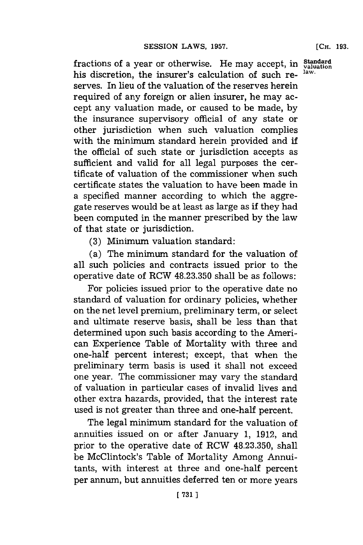fractions of a year or otherwise. He may accept, in  $\frac{\text{Standard}}{\text{valuation}}$  his discretion, the insurar's calculation of such rehis discretion, the insurer's calculation of such reserves. In lieu of the valuation of the reserves herein required of any foreign or alien insurer, he may accept any valuation made, or caused to be made, **by** the insurance supervisory official of any state or other jurisdiction when such valuation complies with the minimum standard herein provided and if the official of such state or jurisdiction accepts as sufficient and valid for all legal purposes the certificate of valuation of the commissioner when such certificate states the valuation to have been made in a specified manner according to which the aggregate reserves would be at least as large as if they had been computed in the manner prescribed **by** the law of that state or jurisdiction.

**(3)** Minimum valuation standard:

(a) The minimum standard for the valuation of all such policies and contracts issued prior to the operative date of RCW **48.23.350** shall be as follows:

For policies issued prior to the operative date no standard of valuation for ordinary policies, whether on the net level premium, preliminary term, or select and ultimate reserve basis, shall be less than that determined upon such basis according to the American Experience Table of Mortality with three and one-half percent interest; except, that when the preliminary term basis is used it shall not exceed one year. The commissioner may vary the standard of valuation in particular cases of invalid lives and other extra hazards, provided, that the interest rate used is not greater than three and one-half percent.

The legal minimum standard for the valuation of annuities issued on or after January **1, 1912,** and prior to the operative date of RCW **48.23.350,** shall be McClintock's Table of Mortality Among Annuitants, with interest at three and one-half percent per annum, but annuities deferred ten or more years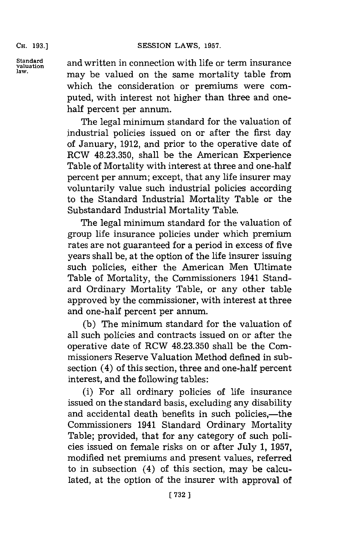**CH. 193.]**

**Standard**

**standard** and written in connection with life or term insurance<br>valuation<br>law. may be valued on the same mortality table from which the consideration or premiums were computed, with interest not higher than three and onehalf percent per annum.

> The legal minimum standard for the valuation of industrial policies issued on or after the first day of January, **1912,** and prior to the operative date of RCW **48.23.350,** shall be the American Experience Table of Mortality with interest at three and one-half percent per annum; except, that any life insurer may voluntarily value such industrial policies according to the Standard Industrial Mortality Table or the Substandard Industrial Mortality Table.

> The legal minimum standard for the valuation of group life insurance policies under which premium rates are not guaranteed **for** a period in excess of five years shall be, at the option of the life insurer issuing such policies, either the American Men Ultimate Table of Mortality, the Commissioners 1941 Standard Ordinary Mortality Table, or any other table approved **by** the commissioner, with interest at three and one-half percent per annum.

> **(b)** The minimum standard for the valuation of all such policies and contracts issued on or after the operative date of RCW **48.23.350** shall be the Commissioners Reserve Valuation Method defined in subsection (4) of this section, three and one-half percent interest, and the following tables:

> (i) For all ordinary policies of life insurance issued on the standard basis, excluding any disability and accidental death benefits in such policies,—the Commissioners 1941 Standard Ordinary Mortality Table; provided, that for any category of such policies issued on female risks on or after July **1, 1957,** modified net premiums and present values, referred to in subsection (4) of this section, may be calculated, at the option of the insurer with approval of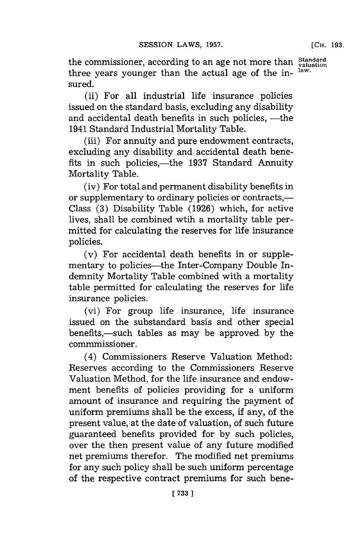**[CH. 193.**

the commissioner, according to an age not more than **Standard** three years younger than the actual age of the in-  $\frac{\text{law}}{\text{law}}$ sured.

(ii) For all industrial life insurance policies issued on the standard basis, excluding any disability and accidental death benefits in such policies, -- the 1941 Standard Industrial Mortality Table.

(iii) For annuity and pure endowment contracts, excluding any disability and accidental death benefits in such policies,—the 1937 Standard Annuity Mortality Table.

(iv) For total and permanent disability benefits in or supplementary to ordinary policies or contracts,— Class **(3)** Disability Table **(1926)** which, for active lives, shall be combined wtih a mortality table permitted for calculating the reserves for life insurance policies.

(v) For accidental death benefits in or supplementary to policies—the Inter-Company Double Indemnity Mortality Table combined with a mortality table permitted for calculating the reserves for life insurance policies.

(vi) For group life insurance, life insurance issued on the substandard basis and other special benefits,-such tables as may be approved **by** the comrnmissioner.

(4) Commissioners Reserve Valuation Method: Reserves according to the Commissioners Reserve Valuation Method, for the life insurance and endowment benefits of policies providing for a uniform amount of insurance and requiring the payment of uniform premiums shall be the excess, if any, of the present value, at the date of valuation, of such future guaranteed benefits provided for **by** such policies, over the then present value of any future modified net premiums therefor. The modified net premiums for any such policy shall be such uniform percentage of the respective contract premiums for such bene-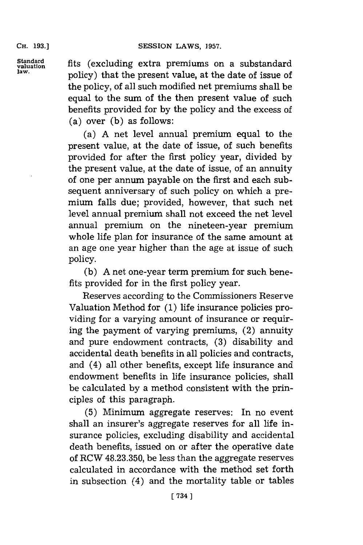## SESSION LAWS, 1957.

**CH. 193.1**

Standard **produces** *fits* (excluding extra premiums on a substandard <sup>law.</sup> policy) that the present value, at the date of issue of the policy, of all such modified net premiums shall be equal to the sum of the then present value of such benefits provided for **by** the policy and the excess of (a) over **(b)** as follows:

> (a) **A** net level annual premium equal to the present value, at the date of issue, of such benefits provided for after the first policy year, divided **by** the present value, at the date of issue, of an annuity of one per annum payable on the first and each subsequent anniversary of such policy on which a premium falls due; provided, however, that such net level annual premium shall not exceed the net level annual premium on the nineteen-year premium whole life plan for insurance of the same amount at an age one year higher than the age at issue of such policy.

> **(b) A** net one-year term premium for such benefits provided for in the first policy year.

> Reserves according to the Commissioners Reserve Valuation Method for **(1)** life insurance policies providing for a varying amount of insurance or requiring the payment of varying premiums, (2) annuity and pure endowment contracts, **(3)** disability and accidental death benefits in all policies and contracts, and (4) all other benefits, except life insurance and endowment benefits in life insurance policies, shall be calculated **by** a method consistent with the principles of this paragraph.

> **(5)** Minimum aggregate reserves: In no event shall an insurer's aggregate reserves for all life insurance policies, excluding disability and accidental death benefits, issued on or after the operative date of RCW **48.23.350,** be less than the aggregate reserves calculated in accordance with the method set forth in subsection (4) and the mortality table or tables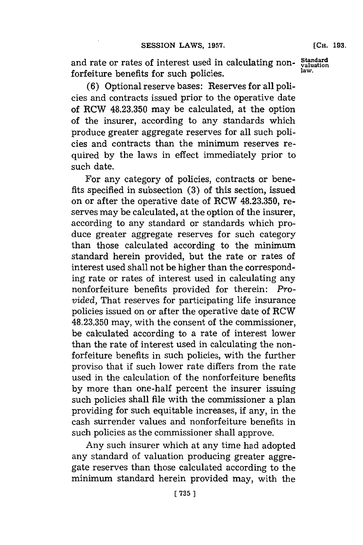and rate or rates of interest used in calculating non- $\frac{\text{Standard}}{\text{law}}$ forfeiture benefits for such policies, **law.**

**(6)** Optional reserve bases: Reserves for all policies and contracts issued prior to the operative date of RCW **48.23.350** may be calculated, at the option of the insurer, according to any standards which produce greater aggregate reserves for all such policies and contracts than the minimum reserves required **by** the laws in effect immediately prior to such date.

For any category of policies, contracts or benefits specified in subsection **(3)** of this section, issued on or after the operative date of RCW **48.23.350,** reserves may be calculated, at the option of the insurer, according to any standard or standards which produce greater aggregate reserves for such category than those calculated according to the minimum standard herein provided, but the rate or rates of interest used shall not be higher than the corresponding rate or rates of interest used in calculating any nonforfeiture benefits provided for therein: *Provided,* That reserves for participating life insurance policies issued on or after the operative date of RCW **48.23.350** may, with the consent of the commissioner, be calculated according to a rate of interest lower than the rate of interest used in calculating the nonforfeiture benefits in such policies, with the further proviso that if such lower rate differs from the rate used in the calculation of the nonforfeiture benefits **by** more than one-half percent the insurer issuing such policies shall file with the commissioner a plan providing for such equitable increases, if any, in the cash surrender values and nonforfeiture benefits in such policies as the commissioner shall approve.

Any such insurer which at any time had adopted any standard of valuation producing greater aggregate reserves than those calculated according to the minimum standard herein provided may, with the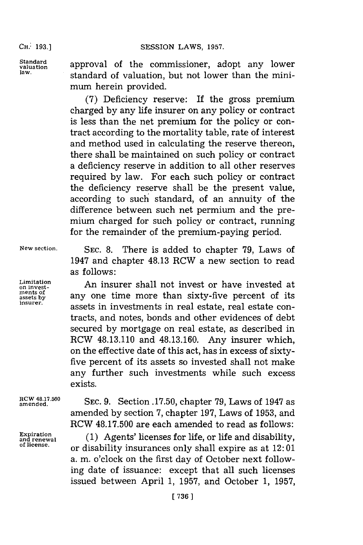**SESSION LAWS, 1957.** 

**CH.: 193.1**

Standard **approval of the commissioner**, adopt any lower law. **Standard of valuation**, but not lower than the minimum herein provided.

> **(7)** Deficiency reserve: If the gross premium charged **by** any life insurer on any policy or contract is less than the net premium for the policy or contract according to the mortality table, rate of interest and method used in calculating the reserve thereon, there shall be maintained on such policy or contract a deficiency reserve in addition to all other reserves required **by** law. For each such policy or contract the deficiency reserve shall be the present value, according to such standard, of an annuity of the difference between such net permium. and the premium charged for such policy or contract, running for the remainder of the premium-paying period.

**ments of**

**New section. SEC. 8.** There is added to chapter **79,** Laws of 1947 and chapter 48.13 RCW a new section to read as follows:

Limitation **An insurer shall not invest or have invested at** ments of any one time more than sixty-five percent of its insurer. assets in investments in real estate, real estate contracts, and notes, bonds and other evidences of debt secured **by** mortgage on real estate, as described in RCW 48.13.110 and **48.13.160.** Any insurer which, on the effective date of this act, has in excess of sixtyfive percent of its assets so invested shall not make any further such investments while such excess exists.

amende.7.0 **SEC. 9.** Section .17.50, chapter **79,** Laws of 1947 a amended **by** section **7,** chapter **197,** Laws of **1953,** and RCW **48.17.500** are each amended to read as follows:

**Expiration ICW 40.17.900** are each allended to read as follows.<br>and renewal *(1)* Agents' licenses for life, or life and disability and renewal (1) Agents ficenses for file, or file and disability,<br>of license. or disability insurances only shall expire as at 12:01 a. m. o'clock on the first day of October next following date of issuance: except that all such licenses issued between April **1, 1957,** and October **1, 1957,**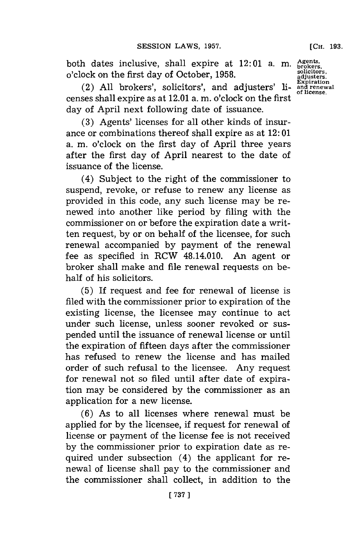**[CH. 193.**

both dates inclusive, shall expire at 12:01 a. m. Agents,<br> **c**'elgeix on the first day of October 1958 o'clock on the first day of October, **1958.**

(2) All brokers', solicitors', and adjusters' licenses shall expire as at 12.01 a.m. o'clock on the first day of April next following date of issuance.

**(3)** Agents' licenses for all other kinds of insurance or combinations thereof shall expire as at 12: **01** a. m. o'clock on the first day of April three years after the first day of April nearest to the date of issuance of the license.

(4) Subject to the right of the commissioner to suspend, revoke, or refuse to renew any license as provided in this code, any such license may be renewed into another like period **by** filing with the commissioner on or before the expiration date a written request, **by** or on behalf of the licensee, for such renewal accompanied **by** payment of the renewal fee as specified in RCW 48.14.010. An agent or broker shall make and file renewal requests on behalf of his solicitors.

**(5)** If request and fee for renewal of license is filed with the commissioner prior to expiration of the existing license, the licensee may continue to act under such license, unless sooner revoked or suspended until the issuance of renewal license or until the expiration of fifteen days after the commissioner has refused to renew the license and has mailed order of such refusal to the licensee. Any request for renewal not so filed until after date of expiration may be considered **by** the commissioner as an application for a new license.

**(6)** As to all licenses where renewal must be applied for **by** the licensee, if request for renewal of license or payment of the license fee is not received **by** the commissioner prior to expiration date as required under subsection (4) the applicant for renewal of license shall pay to the commissioner and the commissioner shall collect, in addition to the

**adjusters. Expiration and renewal of license.**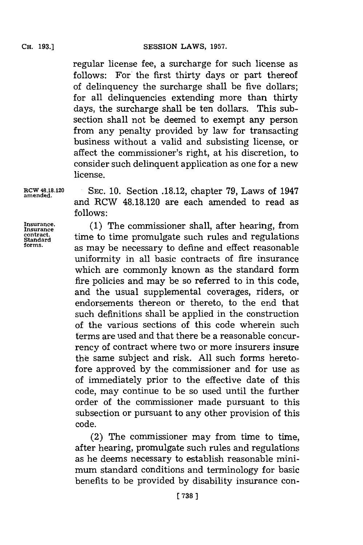regular license fee, a surcharge for such license as follows: For the first thirty days or part thereof of delinquency the surcharge shall be five dollars; for all delinquencies extending more than thirty days, the surcharge shall be ten dollars. This subsection shall not be deemed to exempt any person from any penalty provided **by** law for transacting business without a valid and subsisting license, or affect the commissioner's right, at his discretion, to consider such delinquent application as one for a new license.

**amended.**

**RCW 48.18.120 SEC. 10.** Section **.18.12,** chapter **79,** Laws of 1947 and RCW **48.18.120** are each amended to read as **follows:**

contract.<br>Standard

**inurance. (1)** The commissioner shall, after hearing, from **Standard** time totime promulgate such rules and regulations **forms,** as may be necessary to define and effect reasonable uniformity in all basic contracts of fire insurance which are commonly known as the standard form fire policies and may be so referred to in this code, and the usual supplemental coverages, riders, or endorsements thereon or thereto, to the end that such definitions shall be applied in the construction of the various sections of this code wherein such terms are used and that there be a reasonable concurrency of contract where two or more insurers insure the same subject and risk. **All** such forms heretofore approved **by** the commissioner and for use as of immediately prior to the effective date of this code, may continue to be so used until the further order of the commissioner made pursuant to this subsection or pursuant to any other provision of this code.

(2) The commissioner may from time to time, after hearing, promulgate such rules and regulations as he deems necessary to establish reasonable minimum standard conditions and terminology for basic benefits to be provided **by** disability insurance con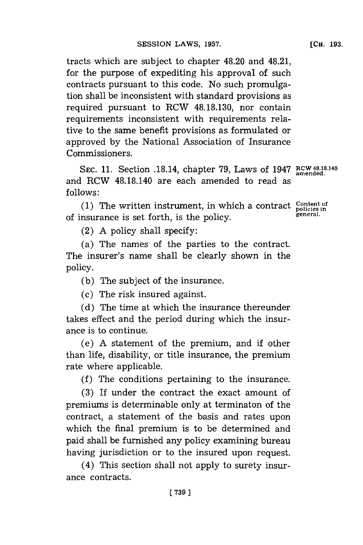tracts which are subject to chapter 48.20 and 48.21, for the purpose of expediting his approval of such contracts pursuant to this code. No such promulgation shall be inconsistent with standard provisions as required pursuant to RCW **48.18.130,** nor contain requirements inconsistent with requirements relative to the same benefit provisions as formulated or approved **by** the National Association of Insurance Commissioners.

**SEC. 11.** Section .18.14, chapter **79,** Laws of 1947 **RCW 4818.140 amended.** and RCW 48.18.140 are each amended to read as **follows:**

(1) The written instrument, in which a contract **Content of** policies in of insurance is set forth, is the policy. **general.**

(2) **A** policy shall specify:

(a) The names of the parties to the contract. The insurer's name shall be clearly shown in the policy.

**(b)** The subject of the insurance.

(c) The risk insured against.

**(d)** The time at which the insurance thereunder takes effect and the period during which the insurance is to continue.

(e) **A** statement of the premium, and if other than life, disability, or title insurance, the premium rate where applicable.

**(f)** The conditions pertaining to the insurance.

**(3)** If under the contract the exact amount of premiums is determinable only at terminaton of the contract, a statement of the basis and rates upon which the final premium is to be determined and paid shall be furnished any policy examining bureau having jurisdiction or to the insured upon request.

(4) This section shall not apply to surety insurance contracts.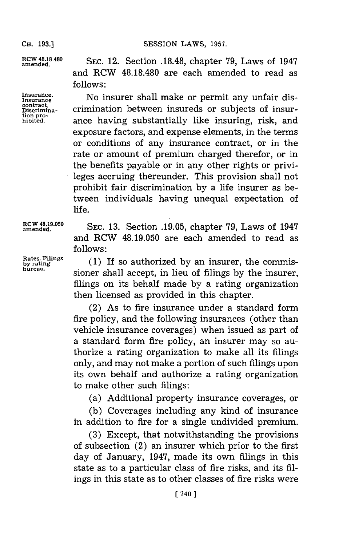SESSION LAWS, 1957.

**RCWnd4.8.0** SEc. 12. Section **.18.48,** chapter **79,** Laws of 1947 and RCW 48.18.480 are each amended to read as **follows:**

**Insurance.** No insurer shall make or permit any unfair dis- **cnurace.** contract. crimination between insureds or subjects of insurhibied. ance having substantially like insuring, risk, and exposure factors, and expense elements, in the terms or conditions of any insurance contract, or in the rate or amount of premium charged therefor, or in the benefits payable or in any other rights or privileges accruing thereunder. This provision shall not prohibit fair discrimination **by** a life insurer as between individuals having unequal expectation of life.

**RCW 48.19.050 SEC.** 13. Section .19.05, chapter 79, Laws of 1947 and RCW **48.19.050** are each amended to read as **follows:**

**Rates. Filings**<br>by rating **by rating** (1) If so authorized by an insurer, the commis bureau. sioner shall accept, in lieu of filings **by** the insurer, filings on its behalf made **by** a rating organization then licensed as provided in this chapter.

> (2) As to fire insurance under a standard form fire policy, and the following insurances (other than vehicle insurance coverages) when issued as part of a standard form fire policy, an insurer may so authorize a rating organization to make all its filings only, and may not make a portion of such filings upon its own behalf and authorize a rating organization to make other such filings:

(a) Additional property insurance coverages, or

**(b)** Coverages including any kind of insurance in addition to fire for a single undivided premium.

**(3)** Except, that notwithstanding the provisions of subsection (2) an insurer which prior to the first day of January, 1947, made its own filings in this state as to a particular class of fire risks, and its **fil**ings in this state as to other classes of fire risks were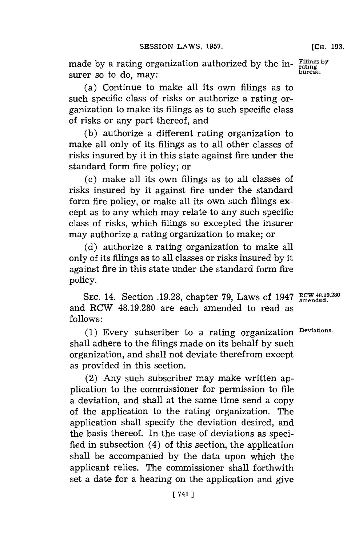made **by** a rating organization authorized **by** the in- **Filingsb** surer so to do, may:

(a) Continue to make all its own filings as to such specific class of risks or authorize a rating organization to make its filings as to such specific class of risks or any part thereof, and

**(b)** authorize a different rating organization to make all only of its filings as to all other classes of risks insured **by** it in this state against fire under the standard form fire policy; or

(c) make all its own filings as to all classes of risks insured **by** it against fire under the standard form fire policy, or make all its own such filings except as to any which may relate to any such specific class of risks, which filings so excepted the insurer may authorize a rating organization to make; or

**(d)** authorize a rating organization to make all only of its filings as to all classes or risks insured **by** it against fire in this state under the standard form fire policy.

SEC. 14. Section **.19.28**, chapter 79, Laws of 1947 **RCW 48.19.280** and RCW **48.19.280** are each amended to read as **follows:**

**(1)** Every subscriber to a rating organization **Deviations.** shall adhere to the filings made on its behalf **by** such organization, and shall not deviate therefrom except as provided in this section.

(2) Any such subscriber may make written application to the commissioner for permission to file a deviation, and shall at the same time send a copy of the application to the rating organization. The application shall specify the deviation desired, and the basis thereof. In the case of deviations as specified in subsection (4) of this section, the application shall be accompanied **by** the data upon which the applicant relies. The commissioner shall forthwith set a date for a hearing on the application and give

**[CH. 193.**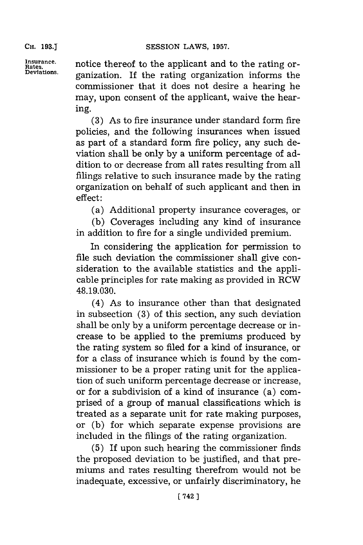**CH. 193.1**

Insurance. **notice thereof to the applicant and to the rating or-**<br>
Retains<br> **Revisions Deviations.** ganization. **If** the rating organization informs the commissioner that it does not desire a hearing he may, upon consent of the applicant, waive the hearing.

> **(3)** As to fire insurance under standard form fire policies, and the following insurances when issued as part of a standard form fire policy, any such deviation shall. be only **by** a uniform percentage of addition to or decrease from all rates resulting from all filings relative to such insurance made **by** the rating organization on behalf of such applicant and then in effect:

(a) Additional property insurance coverages, or

**(b)** Coverages including any kind of insurance in addition to fire for a single undivided premium.

In considering the application for permission to file such deviation the commissioner shall give consideration to the available statistics and the applicable principles for rate making as provided in RCW **48.19.030.**

(4) As to insurance other than that designated in subsection **(3)** of this section, any such deviation shall be only **by** a uniform percentage decrease or increase to be applied to the premiums produced **by** the rating system so filed for a kind of insurance, or for a class of insurance which is found **by** the commissioner to be a proper rating unit for the application of such uniform percentage decrease or increase, or for a subdivision of a kind of insurance (a) comprised of a group of manual classifications which is treated as a separate unit for rate making purposes, or **(b)** for which separate expense provisions are included in the filings of the rating organization.

**(5)** If upon such hearing the commissioner finds the proposed deviation to be justified, and that premiums and rates resulting therefrom would not be inadequate, excessive, or unfairly discriminatory, he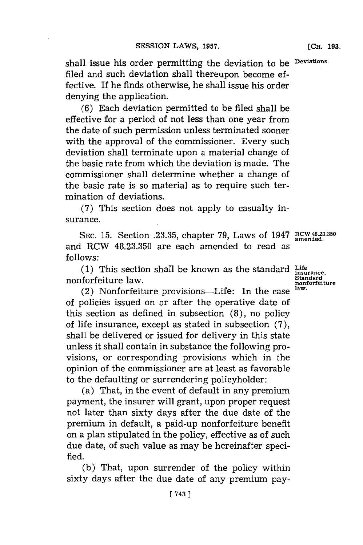shall issue his order permitting the deviation to be **Deviations.** filed and such deviation shall thereupon become effective. If he finds otherwise, he shall issue his order denying the application.

**(6)** Each deviation permitted to be filed shall be effective for a period of not less than one year from the date of such permission unless terminated sooner with the approval of the commissioner. Every such deviation shall terminate upon a material change of the basic rate from which the deviation is made. The commissioner shall determine whether a change of the basic rate is so material as to require such termination of deviations.

**(7)** This section does not apply to casualty insurance.

**SEC. 15.** Section **.23.35,** chapter **79,** Laws of 1947 RcW **48.23.350** and RCW **48.23.350** are each amended to read as **follows:**

**(1)** This section shall be known as the standard **Life** nonforfeiture law.

norienture law.<br>(2) Nonforfeiture provisions—Life: In the case <sup>law.</sup> of policies issued on or after the operative date of this section as defined in subsection **(8),** no policy of life insurance, except as stated in subsection **(7),** shall be delivered or issued for delivery in this state unless it shall contain in substance the following provisions, or corresponding provisions which in the opinion of the commissioner are at least as favorable to the defaulting or surrendering policyholder:

(a) That, in the event of default in any premium payment, the insurer will grant, upon proper request not later than sixty days after the due date of the premium in default, a paid-up nonforfeiture benefit on a plan stipulated in the policy, effective as of such due date, of such value as may be hereinafter specified.

**(b)** That, upon surrender of the policy within sixty days after the due date of any premium pay-

**[ 743 1**

Standard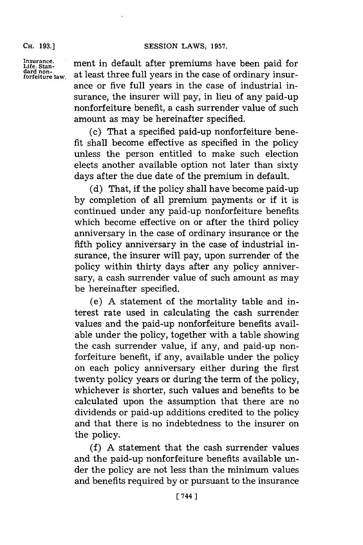# **CH. 93.]SESSION** LAWS, **1957.**

**CH. 193.]**

**Insurance.** Life. Stan-<br>dard non-<br>forfeiture law. ment in default after premiums have been paid for at least three full years in the case of ordinary insurance or five full years in the case of industrial insurance, the insurer will pay, in lieu of any paid-up nonforfeiture benefit, a cash surrender value of such amount as may be hereinafter specified.

(c) That a specified paid-up nonforfeiture benefit shall become effective as specified in the policy unless the person entitled to make such election elects another available option not later than sixty days after the due date of the premium in default.

**(d)** That, if the policy shall have become paid-up **by** completion of all premium payments or if it is continued under any paid-up nonforfeiture benefits which become effective on or after the third policy anniversary in the case of ordinary insurance or the fifth policy anniversary in the case of industrial insurance, the insurer will pay, upon surrender of the policy within thirty days after any policy anniversary, a cash surrender value of such amount as may be hereinafter specified.

(e) **A** statement of the mortality table and interest rate used in calculating the cash surrender values and the paid-up nonforfeiture benefits available under the policy, together with a table showing the cash surrender value, if any, and paid-up nonforfeiture benefit, if any, available under the policy on each policy anniversary either during the first twenty policy years or during the term of the policy, whichever is shorter, such values and benefits to be calculated upon the assumption that there are no dividends or paid-up additions credited to the policy and that there is no indebtedness to the insurer on the policy.

**(f) A** statement that the cash surrender values and the paid-up nonforfeiture benefits available under the policy are not less than the minimum values and benefits required **by** or pursuant to the insurance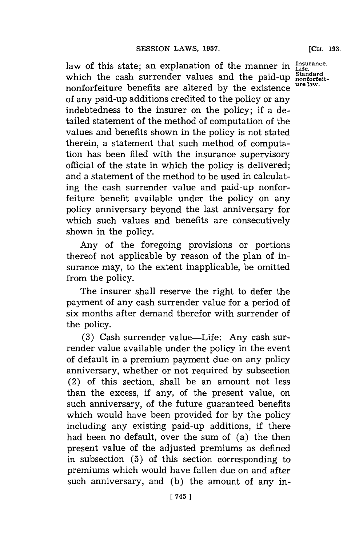law of this state; an explanation of the manner in Life.<br>which the cash surrender values and the paid-up standard. which the cash surrender values and the paid-up **Standard** nonforteitnonforfeiture benefits are altered **by** the existence **ure law.** of any paid-up additions credited to the policy or any indebtedness to the insurer on the policy; if a detailed statement of the method of computation of the values and benefits shown in the policy is not stated therein, a statement that such method of computation has been filed with the insurance supervisory official of the state in which the policy is delivered; and a statement of the method to be used in calculating the cash surrender value and paid-up nonforfeiture benefit available under the policy on any policy anniversary beyond the last anniversary for which such values and benefits are consecutively shown in the policy.

Any of the foregoing provisions or portions thereof not applicable **by** reason of the plan of insurance may, to the extent inapplicable, be omitted from the policy.

The insurer shall reserve the right to defer the payment of any cash surrender value for a period of six months after demand therefor with surrender of the policy.

**(3)** Cash surrender value-Life: Any cash surrender value available under the policy in the event of default in a premium payment due on any policy anniversary, whether or not required **by** subsection (2) of this section, shall be an amount not less than the excess, if any, of the present value, on such anniversary, of the future guaranteed benefits which would have been provided for **by** the policy including any existing paid-up additions, **if** there had been no default, over the sum of (a) the then present value of the adjusted premiums as defined in subsection **(5)** of this section corresponding to premiums which would have fallen due on and after such anniversary, and **(b)** the amount of any in-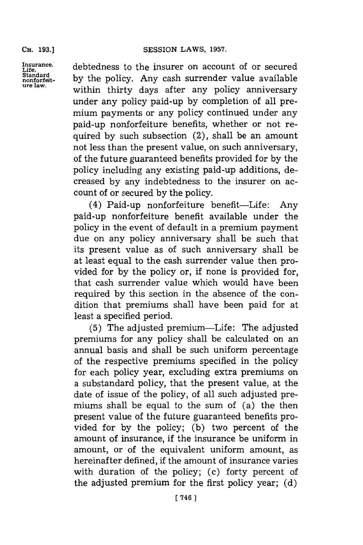**CH. 193.]**

Insurance.<br>Life.<br>Standard<br>nonforfeit-<br>ure law.

debtedness to the insurer on account of or secured by the policy. Any cash surrender value available within thirty days after any policy anniversary under any policy paid-up **by** completion of all premium payments or any policy continued under any paid-up nonforfeiture benefits, whether or not required **by** such subsection (2), shall be an amount not less than the present value, on such anniversary, of the future guaranteed benefits provided **for by** the policy including any existing paid-up additions, decreased **by** any indebtedness to the insurer on account of or secured **by** the policy.

(4) Paid-up nonforfeiture benefit-Life: Any paid-up nonforfeiture benefit available under the policy in the event of default in a premium payment due on any policy anniversary shall be such that its present value as of such anniversary shall be at least equal to the cash surrender value then provided for **by** the policy or, if none is provided for, that cash surrender value which would have been required **by** this section in the absence of the condition that premiums shall have been paid for at least a specified period.

**(5)** The adjusted premium-Life: The adjusted premiums for any policy shall be calculated on an annual basis and shall be such uniform percentage of the respective premiums specified in the policy for each policy year, excluding extra premiums on a substandard policy, that the present value, at the date of issue of the policy, of all such adjusted premiums shall be equal to the sum of (a) the then present value of the future guaranteed benefits provided for **by** the policy; **(b)** two percent of the amount of insurance, if the insurance be uniform in amount, or of the equivalent uniform amount, as hereinafter defined, if the amount of insurance varies with duration of the policy; (c) forty percent of the adjusted premium for the first policy year; **(d)**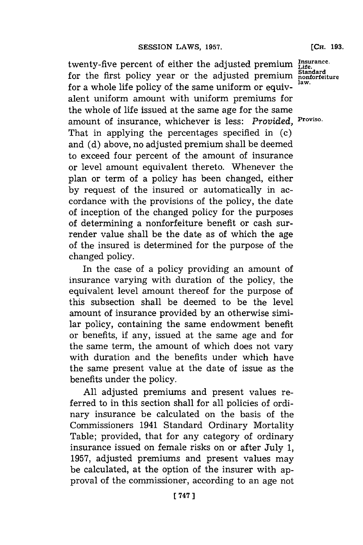twenty-five percent of either the adjusted premium **Lifae.** for the first policy year or the adjusted premium nonfort for a whole life policy of the same uniform or equivalent uniform amount with uniform premiums for the whole of life issued at the same age for the same amount of insurance, whichever is less: Provided, Proviso. That in applying the percentages specified in (c) and **(d)** above, no adjusted premium shall be deemed to exceed four percent of the amount of insurance or level amount equivalent thereto. Whenever the plan or term of a policy has been changed, either **by** request of the insured or automatically in accordance with the provisions of the policy, the date of inception of the changed policy for the purposes of determining a nonforfeiture benefit or cash surrender value shall be the date as of which the age of the insured is determined for the purpose of the changed policy.

In the case of a policy providing an amount of insurance varying with duration of the policy, the equivalent level amount thereof for the purpose of this subsection shall be deemed to be the level amount of insurance provided **by** an otherwise similar policy, containing the same endowment benefit or benefits, if any, issued at the same age and for the same term, the amount of which does not vary with duration and the benefits under which have the same present value at the date of issue as the benefits under the policy.

**All** adjusted premiums and present values referred to in this section shall for all policies of ordinary insurance be calculated on the basis of the Commissioners 1941 Standard Ordinary Mortality Table; provided, that for any category of ordinary insurance issued on female risks on or after July **1, 1957,** adjusted premiums and present values may be calculated, at the option of the insurer with approval of the commissioner, according to an age not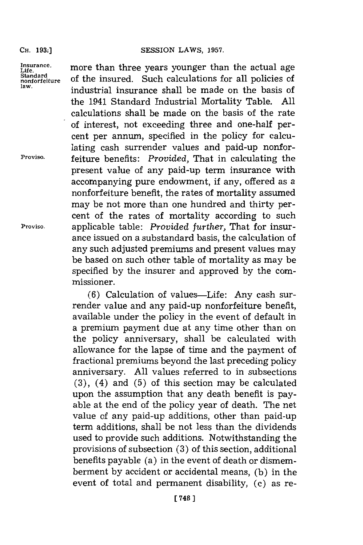Insurance.<br>Life.<br>Standard<br>nonforfeiture

more than three years younger than the actual age Standard<br>nonforfeiture of the insured. Such calculations for all policies of<br>law. **law,** industrial insurance shall be made on the basis of the 1941 Standard Industrial Mortality Table. **All** calculations shall be made on the basis of the rate of interest, not exceeding three and one-half percent per annum, specified in the policy for calculating cash surrender values and paid-up nonfor-**P'roviso.** feiture benefits: *Provided,* That in calculating the present value of any paid-up term insurance with accompanying pure endowment, if any, offered as a nonforfeiture benefit, the rates of mortality assumed may be not more than one hundred and thirty per-

cent of the rates of mortality according to such **Proviso.** applicable table: *Provided further,* That for insurance issued on a substandard basis, the calculation of any such adjusted premiums and present values may be based on such other table of mortality as may be specified **by** the insurer and approved **by** the commissioner.

**(6)** Calculation of values-Life: Any cash surrender value and any paid-up nonforfeiture benefit, available under the policy in the event of default in a premium payment due at any time other than on the policy anniversary, shall be calculated with allowance for the lapse of time and the payment of fractional premiums beyond the last preceding policy anniversary. **All** values referred to in subsections **(3),** (4) and **(5)** of this section may be calculated upon the assumption that any death benefit is payable at the end of the policy year of death. The net value of any paid-up additions, other than paid-up term additions, shall be not less than the dividends used to provide such additions. Notwithstanding the provisions of subsection **(3)** of this section, additional benefits payable (a) in the event of death or dismemberment **by** accident or accidental means, **(b)** in the event of total and permanent disability, (c) as re-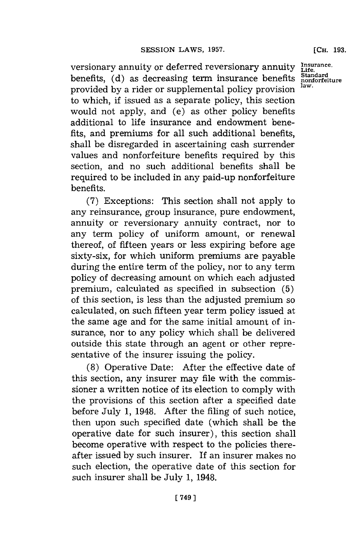versionary annuity or deferred reversionary annuity **Insrance.** benefits, (d) as decreasing term insurance benefits **Standard** provided by a rider or supplemental policy provision law. to which, if issued as a separate policy, this section would not apply, and (e) as other policy benefits additional to life insurance and endowment benefits, and premiums for all such additional benefits, shall be disregarded in ascertaining cash surrender values and nonforfeiture benefits required **by** this section, and no such additional benefits shall be required to be included in any paid-up nonforfeiture benefits.

**(7)** Exceptions: This section shall not apply to any reinsurance, group insurance, pure endowment, annuity or reversionary annuity contract, nor to any term policy of uniform amount, or renewal thereof, of fifteen years or less expiring before age sixty-six, for which uniform premiums are payable during the entire term of the policy, nor to any term policy of decreasing amount on which each adjusted premium, calculated as specified in subsection **(5)** of this section, is less than the adjusted premium so calculated, on such fifteen year term policy issued at the same age and for the same initial amount of insurance, nor to any policy which shall be delivered outside this state through an agent or other representative of the insurer issuing the policy.

**(8)** Operative Date: After the effective date of this section, any insurer may file with the commissioner a written notice of its election to comply with the provisions of this section after a specified date before July **1,** 1948. After the filing of such notice, then upon such specified date (which shall be the operative date for such insurer), this section shall become operative with respect to the policies thereafter issued **by** such insurer. **If** an insurer makes no such election, the operative date of this section for such insurer shall be July **1,** 1948.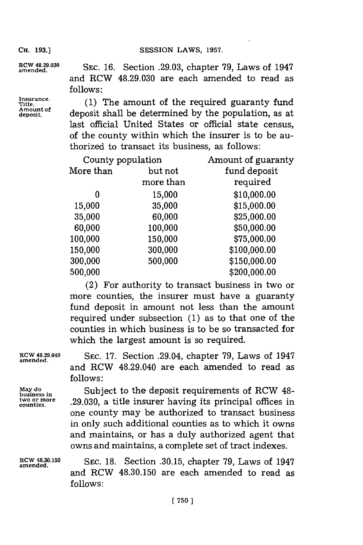CH. 193.] **SESSION LAWS, 1957.** 

**Insurance. Amount of**

**amend4..0 SEC. 16.** Section **.29.03,** chapter **79,** Laws of 1947 and RCW **48.29.030** are each amended to read as **follows:**

> (1) The amount of the required guaranty fund **deposit.** deposit shall be determined **by** the population, as at last official United States or official state census, of the county within which the insurer is to be authorized to transact its business, as follows:

| County population |           | Amount of guaranty |  |  |
|-------------------|-----------|--------------------|--|--|
| More than         | but not   | fund deposit       |  |  |
|                   | more than | required           |  |  |
| o                 | 15,000    | \$10,000.00        |  |  |
| 15,000            | 35,000    | \$15,000.00        |  |  |
| 35,000            | 60,000    | \$25,000.00        |  |  |
| 60,000            | 100,000   | \$50,000.00        |  |  |
| 100,000           | 150,000   | \$75,000.00        |  |  |
| 150,000           | 300,000   | \$100,000.00       |  |  |
| 300,000           | 500,000   | \$150,000.00       |  |  |
| 500,000           |           | \$200,000.00       |  |  |

(2) For authority to transact business in two or more counties, the insurer must have a guaranty fund deposit in amount not less than the amount required under subsection **(1)** as to that one of the counties in which business is to be so transacted for which the largest amount is so required.

**ROW 48.29.040 SEC. 17.** Section .29.04, chapter **79,** Laws of 1947 **amended.** and RCW 48.29.040 are each amended to read as **follows:**

May do **build Subject** to the deposit requirements of RCW 48-<br>business in the order of 20,030, a title insurer baying its principal offices in business in Calagost to the deposit requirements of the *it* reduction<br>two or more 29,030, a title insurer having its principal offices in one county may be authorized to transact business in only such additional counties as to which it owns and maintains, or has a duly authorized agent that owns and maintains, a complete set of tract indexes.

**RCW 48.30.150 SEC. 18.** Section **.30.15,** chapter **79,** Laws of 1947 **amended.** and RCW **48.30.150** are each amended to read as **follows:**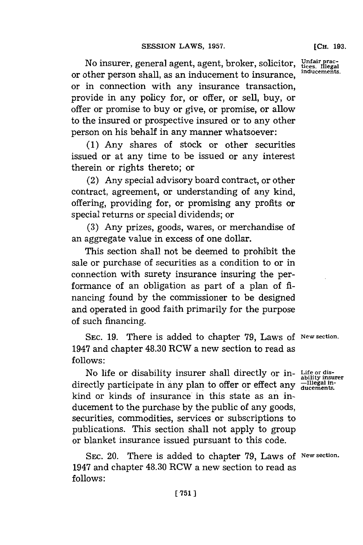**[CHi. 193.**

No insurer, general agent, agent, broker, solicitor, or other person shall, as an inducement to insurance, or in connection with any insurance transaction, provide in any policy for, or offer, or sell, buy, or offer or promise to buy or give, or promise, or allow to the insured or prospective insured or to any other person on his behalf in any manner whatsoever: **Unfair prac- tices. Illegal inducements.**

**(1)** Any shares of stock or other securities issued or at any time to be issued or any interest therein or rights thereto; or

(2) Any special advisory board contract, or other contract, agreement, or understanding of any kind, offering, providing for, or promising any profits or special returns or special dividends; or

**(3)** Any prizes, goods, wares, or merchandise of an aggregate value in excess of one dollar.

This section shall not be deemed to prohibit the sale or purchase of securities as a condition to or in connection with surety insurance insuring the performance of an obligation as part of a plan of **fi**nancing found **by** the commissioner to be designed and operated in good faith primarily **for** the purpose of such financing.

SEC. 19. There is added to chapter 79, Laws of New section. 1947 and chapter 48.30 RCW a new section to read as **follows:**

No life or disability insurer shall directly or in-**Life or dis-ability insurer** directly participate in any plan to offer or effect any **-Illegal in-ducements.** kind or kinds of insurance' in this state as an inducement to the purchase **by** the public of any goods, securities, commodities, services or subscriptions to publications. This section shall not apply to group or blanket insurance issued pursuant to this code.

**SEC.** 20. There is added to chapter **79,** Laws **of New section.** 1947 and chapter 48.30 RCW a new section to read as **follows:**